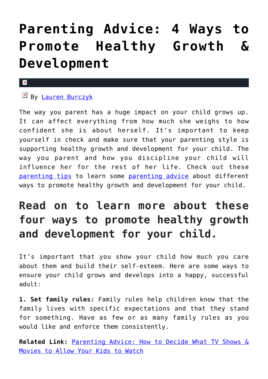## **[Parenting Advice: 4 Ways to](https://cupidspulse.com/128893/parenting-advice-ways-promote-healthy-growth-development/) [Promote Healthy Growth &](https://cupidspulse.com/128893/parenting-advice-ways-promote-healthy-growth-development/) [Development](https://cupidspulse.com/128893/parenting-advice-ways-promote-healthy-growth-development/)**

## $\mathbf{x}$

## $\boxed{\mathbf{x}}$  By [Lauren Burczyk](http://cupidspulse.com/128283/lauren-burczyk/)

The way you parent has a huge impact on your child grows up. It can affect everything from how much she weighs to how confident she is about herself. It's important to keep yourself in check and make sure that your parenting style is supporting healthy growth and development for your child. The way you parent and how you discipline your child will influence her for the rest of her life. Check out these [parenting tips](http://cupidspulse.com/parenting/) to learn some [parenting advice](http://cupidspulse.com/parenting/) about different ways to promote healthy growth and development for your child.

## **Read on to learn more about these four ways to promote healthy growth and development for your child.**

It's important that you show your child how much you care about them and build their self-esteem. Here are some ways to ensure your child grows and develops into a happy, successful adult:

**1. Set family rules:** Family rules help children know that the family lives with specific expectations and that they stand for something. Have as few or as many family rules as you would like and enforce them consistently.

**Related Link:** [Parenting Advice: How to Decide What TV Shows &](http://cupidspulse.com/128360/parenting-advice-decide-what-tv-shows-movies-allow-your-kids-watch) [Movies to Allow Your Kids to Watch](http://cupidspulse.com/128360/parenting-advice-decide-what-tv-shows-movies-allow-your-kids-watch)